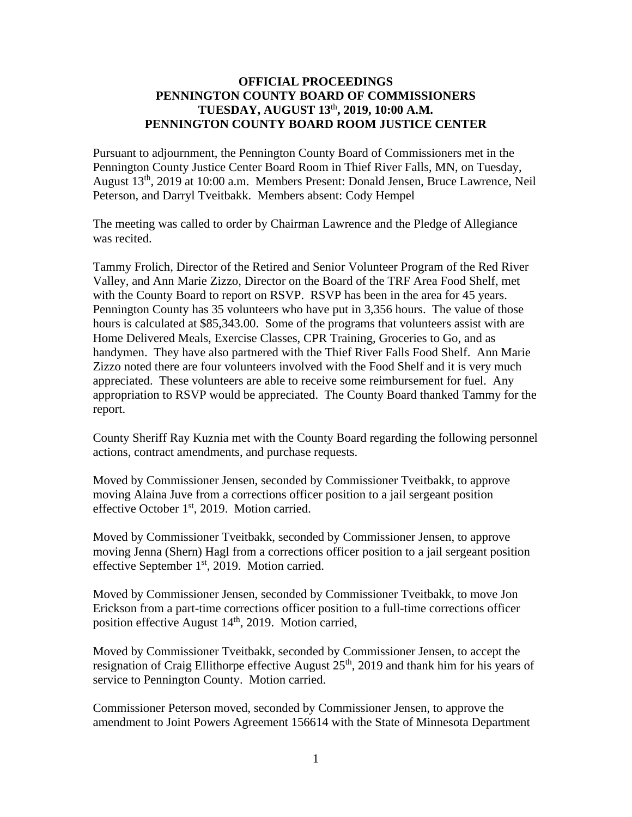# **OFFICIAL PROCEEDINGS PENNINGTON COUNTY BOARD OF COMMISSIONERS TUESDAY, AUGUST 13**th **, 2019, 10:00 A.M. PENNINGTON COUNTY BOARD ROOM JUSTICE CENTER**

Pursuant to adjournment, the Pennington County Board of Commissioners met in the Pennington County Justice Center Board Room in Thief River Falls, MN, on Tuesday, August 13th, 2019 at 10:00 a.m. Members Present: Donald Jensen, Bruce Lawrence, Neil Peterson, and Darryl Tveitbakk. Members absent: Cody Hempel

The meeting was called to order by Chairman Lawrence and the Pledge of Allegiance was recited.

Tammy Frolich, Director of the Retired and Senior Volunteer Program of the Red River Valley, and Ann Marie Zizzo, Director on the Board of the TRF Area Food Shelf, met with the County Board to report on RSVP. RSVP has been in the area for 45 years. Pennington County has 35 volunteers who have put in 3,356 hours. The value of those hours is calculated at \$85,343.00. Some of the programs that volunteers assist with are Home Delivered Meals, Exercise Classes, CPR Training, Groceries to Go, and as handymen. They have also partnered with the Thief River Falls Food Shelf. Ann Marie Zizzo noted there are four volunteers involved with the Food Shelf and it is very much appreciated. These volunteers are able to receive some reimbursement for fuel. Any appropriation to RSVP would be appreciated. The County Board thanked Tammy for the report.

County Sheriff Ray Kuznia met with the County Board regarding the following personnel actions, contract amendments, and purchase requests.

Moved by Commissioner Jensen, seconded by Commissioner Tveitbakk, to approve moving Alaina Juve from a corrections officer position to a jail sergeant position effective October 1<sup>st</sup>, 2019. Motion carried.

Moved by Commissioner Tveitbakk, seconded by Commissioner Jensen, to approve moving Jenna (Shern) Hagl from a corrections officer position to a jail sergeant position effective September 1<sup>st</sup>, 2019. Motion carried.

Moved by Commissioner Jensen, seconded by Commissioner Tveitbakk, to move Jon Erickson from a part-time corrections officer position to a full-time corrections officer position effective August  $14<sup>th</sup>$ , 2019. Motion carried,

Moved by Commissioner Tveitbakk, seconded by Commissioner Jensen, to accept the resignation of Craig Ellithorpe effective August  $25<sup>th</sup>$ , 2019 and thank him for his years of service to Pennington County. Motion carried.

Commissioner Peterson moved, seconded by Commissioner Jensen, to approve the amendment to Joint Powers Agreement 156614 with the State of Minnesota Department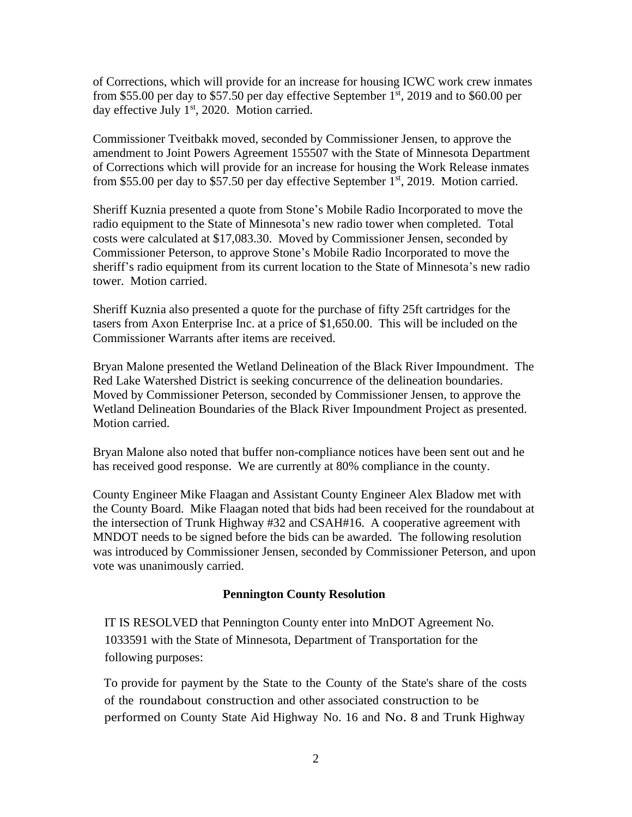of Corrections, which will provide for an increase for housing ICWC work crew inmates from \$55.00 per day to \$57.50 per day effective September  $1<sup>st</sup>$ , 2019 and to \$60.00 per day effective July  $1<sup>st</sup>$ , 2020. Motion carried.

Commissioner Tveitbakk moved, seconded by Commissioner Jensen, to approve the amendment to Joint Powers Agreement 155507 with the State of Minnesota Department of Corrections which will provide for an increase for housing the Work Release inmates from \$55.00 per day to \$57.50 per day effective September  $1<sup>st</sup>$ , 2019. Motion carried.

Sheriff Kuznia presented a quote from Stone's Mobile Radio Incorporated to move the radio equipment to the State of Minnesota's new radio tower when completed. Total costs were calculated at \$17,083.30. Moved by Commissioner Jensen, seconded by Commissioner Peterson, to approve Stone's Mobile Radio Incorporated to move the sheriff's radio equipment from its current location to the State of Minnesota's new radio tower. Motion carried.

Sheriff Kuznia also presented a quote for the purchase of fifty 25ft cartridges for the tasers from Axon Enterprise Inc. at a price of \$1,650.00. This will be included on the Commissioner Warrants after items are received.

Bryan Malone presented the Wetland Delineation of the Black River Impoundment. The Red Lake Watershed District is seeking concurrence of the delineation boundaries. Moved by Commissioner Peterson, seconded by Commissioner Jensen, to approve the Wetland Delineation Boundaries of the Black River Impoundment Project as presented. Motion carried.

Bryan Malone also noted that buffer non-compliance notices have been sent out and he has received good response. We are currently at 80% compliance in the county.

County Engineer Mike Flaagan and Assistant County Engineer Alex Bladow met with the County Board. Mike Flaagan noted that bids had been received for the roundabout at the intersection of Trunk Highway #32 and CSAH#16. A cooperative agreement with MNDOT needs to be signed before the bids can be awarded. The following resolution was introduced by Commissioner Jensen, seconded by Commissioner Peterson, and upon vote was unanimously carried.

## **Pennington County Resolution**

IT IS RESOLVED that Pennington County enter into MnDOT Agreement No. 1033591 with the State of Minnesota, Department of Transportation for the following purposes:

To provide for payment by the State to the County of the State's share of the costs of the roundabout construction and other associated construction to be performed on County State Aid Highway No. 16 and No. 8 and Trunk Highway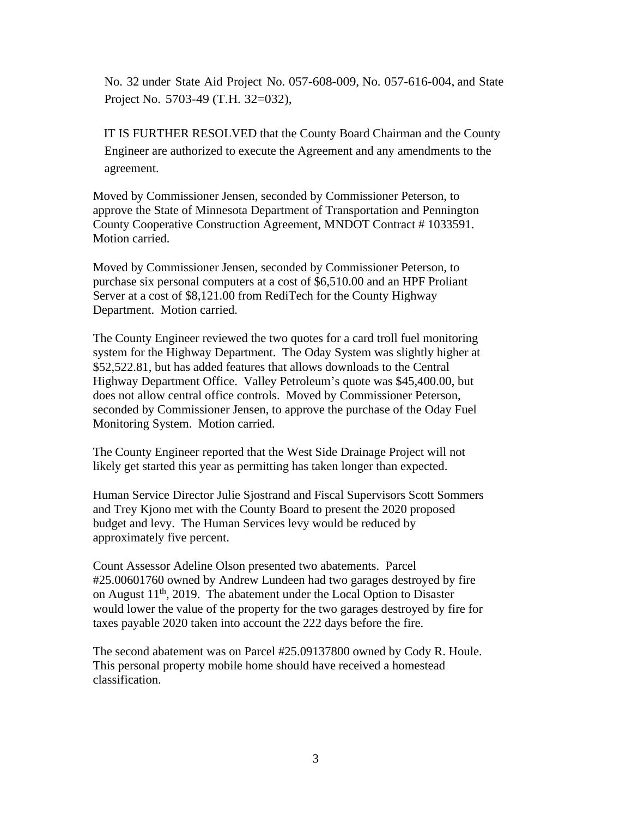No. 32 under State Aid Project No. 057-608-009, No. 057-616-004, and State Project No. 5703-49 (T.H. 32=032),

IT IS FURTHER RESOLVED that the County Board Chairman and the County Engineer are authorized to execute the Agreement and any amendments to the agreement.

Moved by Commissioner Jensen, seconded by Commissioner Peterson, to approve the State of Minnesota Department of Transportation and Pennington County Cooperative Construction Agreement, MNDOT Contract # 1033591. Motion carried.

Moved by Commissioner Jensen, seconded by Commissioner Peterson, to purchase six personal computers at a cost of \$6,510.00 and an HPF Proliant Server at a cost of \$8,121.00 from RediTech for the County Highway Department. Motion carried.

The County Engineer reviewed the two quotes for a card troll fuel monitoring system for the Highway Department. The Oday System was slightly higher at \$52,522.81, but has added features that allows downloads to the Central Highway Department Office. Valley Petroleum's quote was \$45,400.00, but does not allow central office controls. Moved by Commissioner Peterson, seconded by Commissioner Jensen, to approve the purchase of the Oday Fuel Monitoring System. Motion carried.

The County Engineer reported that the West Side Drainage Project will not likely get started this year as permitting has taken longer than expected.

Human Service Director Julie Sjostrand and Fiscal Supervisors Scott Sommers and Trey Kjono met with the County Board to present the 2020 proposed budget and levy. The Human Services levy would be reduced by approximately five percent.

Count Assessor Adeline Olson presented two abatements. Parcel #25.00601760 owned by Andrew Lundeen had two garages destroyed by fire on August  $11<sup>th</sup>$ , 2019. The abatement under the Local Option to Disaster would lower the value of the property for the two garages destroyed by fire for taxes payable 2020 taken into account the 222 days before the fire.

The second abatement was on Parcel #25.09137800 owned by Cody R. Houle. This personal property mobile home should have received a homestead classification.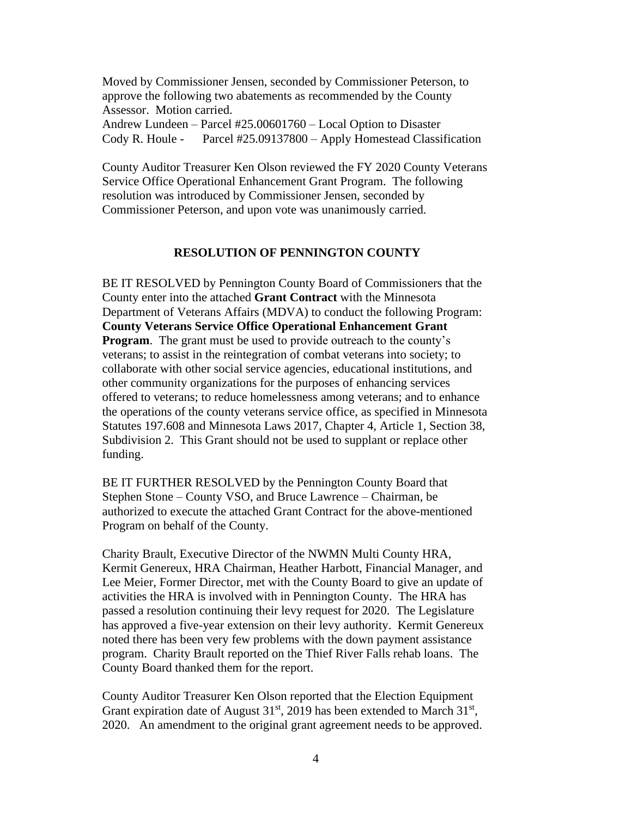Moved by Commissioner Jensen, seconded by Commissioner Peterson, to approve the following two abatements as recommended by the County Assessor. Motion carried.

Andrew Lundeen – Parcel #25.00601760 – Local Option to Disaster Cody R. Houle - Parcel #25.09137800 – Apply Homestead Classification

County Auditor Treasurer Ken Olson reviewed the FY 2020 County Veterans Service Office Operational Enhancement Grant Program. The following resolution was introduced by Commissioner Jensen, seconded by Commissioner Peterson, and upon vote was unanimously carried.

### **RESOLUTION OF PENNINGTON COUNTY**

BE IT RESOLVED by Pennington County Board of Commissioners that the County enter into the attached **Grant Contract** with the Minnesota Department of Veterans Affairs (MDVA) to conduct the following Program: **County Veterans Service Office Operational Enhancement Grant Program**. The grant must be used to provide outreach to the county's veterans; to assist in the reintegration of combat veterans into society; to collaborate with other social service agencies, educational institutions, and other community organizations for the purposes of enhancing services offered to veterans; to reduce homelessness among veterans; and to enhance the operations of the county veterans service office, as specified in Minnesota Statutes 197.608 and Minnesota Laws 2017, Chapter 4, Article 1, Section 38, Subdivision 2. This Grant should not be used to supplant or replace other funding.

BE IT FURTHER RESOLVED by the Pennington County Board that Stephen Stone – County VSO, and Bruce Lawrence – Chairman, be authorized to execute the attached Grant Contract for the above-mentioned Program on behalf of the County.

Charity Brault, Executive Director of the NWMN Multi County HRA, Kermit Genereux, HRA Chairman, Heather Harbott, Financial Manager, and Lee Meier, Former Director, met with the County Board to give an update of activities the HRA is involved with in Pennington County. The HRA has passed a resolution continuing their levy request for 2020. The Legislature has approved a five-year extension on their levy authority. Kermit Genereux noted there has been very few problems with the down payment assistance program. Charity Brault reported on the Thief River Falls rehab loans. The County Board thanked them for the report.

County Auditor Treasurer Ken Olson reported that the Election Equipment Grant expiration date of August  $31<sup>st</sup>$ , 2019 has been extended to March  $31<sup>st</sup>$ , 2020. An amendment to the original grant agreement needs to be approved.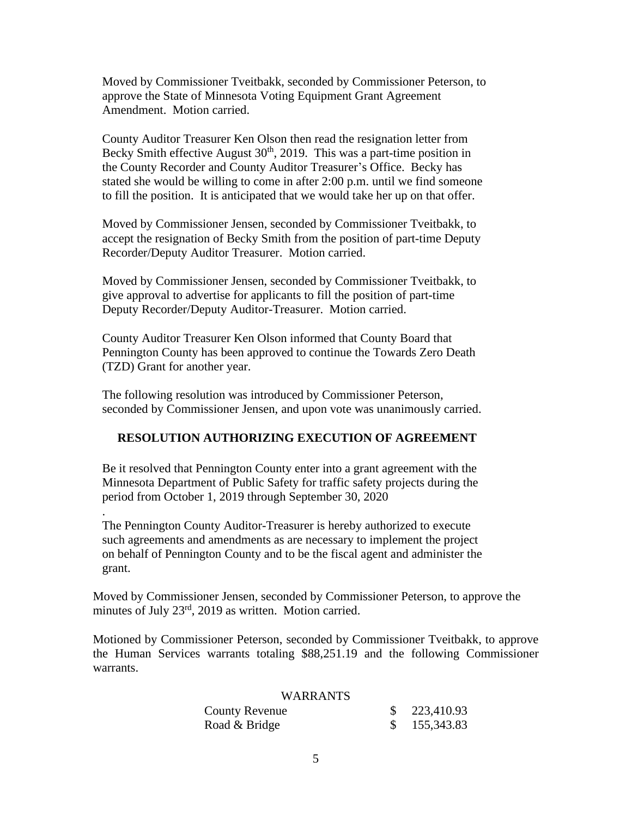Moved by Commissioner Tveitbakk, seconded by Commissioner Peterson, to approve the State of Minnesota Voting Equipment Grant Agreement Amendment. Motion carried.

County Auditor Treasurer Ken Olson then read the resignation letter from Becky Smith effective August  $30<sup>th</sup>$ , 2019. This was a part-time position in the County Recorder and County Auditor Treasurer's Office. Becky has stated she would be willing to come in after 2:00 p.m. until we find someone to fill the position. It is anticipated that we would take her up on that offer.

Moved by Commissioner Jensen, seconded by Commissioner Tveitbakk, to accept the resignation of Becky Smith from the position of part-time Deputy Recorder/Deputy Auditor Treasurer. Motion carried.

Moved by Commissioner Jensen, seconded by Commissioner Tveitbakk, to give approval to advertise for applicants to fill the position of part-time Deputy Recorder/Deputy Auditor-Treasurer. Motion carried.

County Auditor Treasurer Ken Olson informed that County Board that Pennington County has been approved to continue the Towards Zero Death (TZD) Grant for another year.

The following resolution was introduced by Commissioner Peterson, seconded by Commissioner Jensen, and upon vote was unanimously carried.

## **RESOLUTION AUTHORIZING EXECUTION OF AGREEMENT**

Be it resolved that Pennington County enter into a grant agreement with the Minnesota Department of Public Safety for traffic safety projects during the period from October 1, 2019 through September 30, 2020

.

The Pennington County Auditor-Treasurer is hereby authorized to execute such agreements and amendments as are necessary to implement the project on behalf of Pennington County and to be the fiscal agent and administer the grant.

Moved by Commissioner Jensen, seconded by Commissioner Peterson, to approve the minutes of July 23<sup>rd</sup>, 2019 as written. Motion carried.

Motioned by Commissioner Peterson, seconded by Commissioner Tveitbakk, to approve the Human Services warrants totaling \$88,251.19 and the following Commissioner warrants.

#### WARRANTS

| County Revenue | 223,410.93 |
|----------------|------------|
| Road & Bridge  | 155,343.83 |